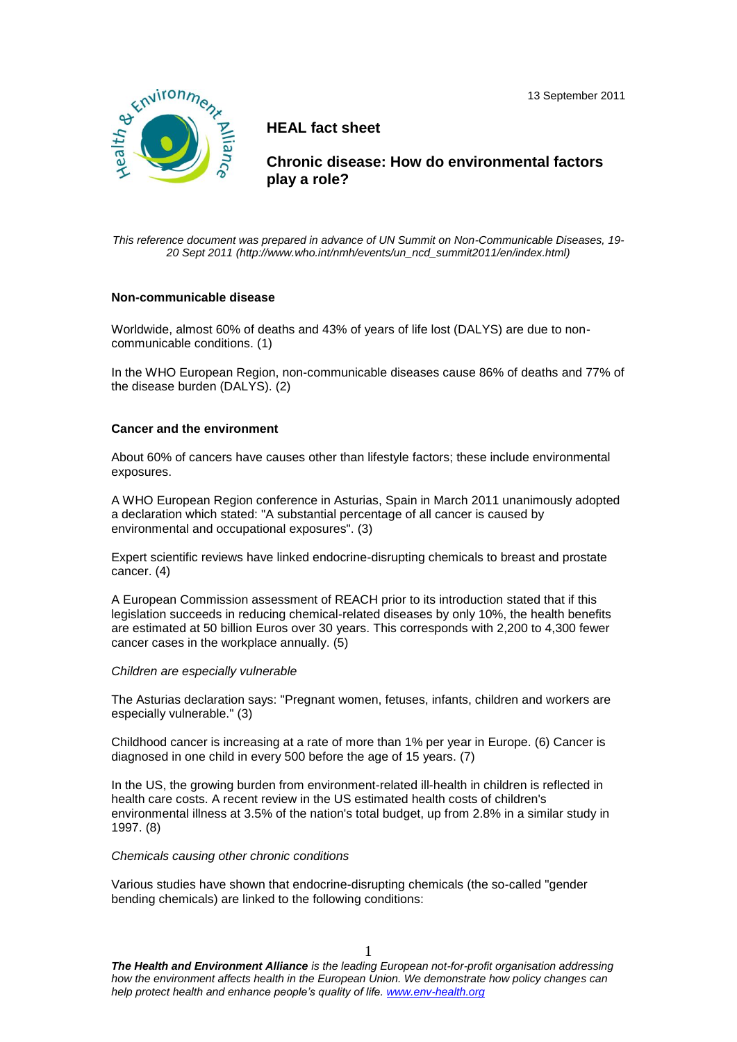13 September 2011



# **HEAL fact sheet**

 **Chronic disease: How do environmental factors play a role?**

*This reference document was prepared in advance of UN Summit on Non-Communicable Diseases, 19- 20 Sept 2011 (http://www.who.int/nmh/events/un\_ncd\_summit2011/en/index.html)*

### **Non-communicable disease**

Worldwide, almost 60% of deaths and 43% of years of life lost (DALYS) are due to noncommunicable conditions. (1)

In the WHO European Region, non-communicable diseases cause 86% of deaths and 77% of the disease burden (DALYS). (2)

# **Cancer and the environment**

About 60% of cancers have causes other than lifestyle factors; these include environmental exposures.

A WHO European Region conference in Asturias, Spain in March 2011 unanimously adopted a declaration which stated: "A substantial percentage of all cancer is caused by environmental and occupational exposures". (3)

Expert scientific reviews have linked endocrine-disrupting chemicals to breast and prostate cancer. (4)

A European Commission assessment of REACH prior to its introduction stated that if this legislation succeeds in reducing chemical-related diseases by only 10%, the health benefits are estimated at 50 billion Euros over 30 years. This corresponds with 2,200 to 4,300 fewer cancer cases in the workplace annually. (5)

### *Children are especially vulnerable*

The Asturias declaration says: "Pregnant women, fetuses, infants, children and workers are especially vulnerable." (3)

Childhood cancer is increasing at a rate of more than 1% per year in Europe. (6) Cancer is diagnosed in one child in every 500 before the age of 15 years. (7)

In the US, the growing burden from environment-related ill-health in children is reflected in health care costs. A recent review in the US estimated health costs of children's environmental illness at 3.5% of the nation's total budget, up from 2.8% in a similar study in 1997. (8)

### *Chemicals causing other chronic conditions*

Various studies have shown that endocrine-disrupting chemicals (the so-called "gender bending chemicals) are linked to the following conditions:

*The Health and Environment Alliance is the leading European not-for-profit organisation addressing how the environment affects health in the European Union. We demonstrate how policy changes can help protect health and enhance people's quality of life. www.env-health.org*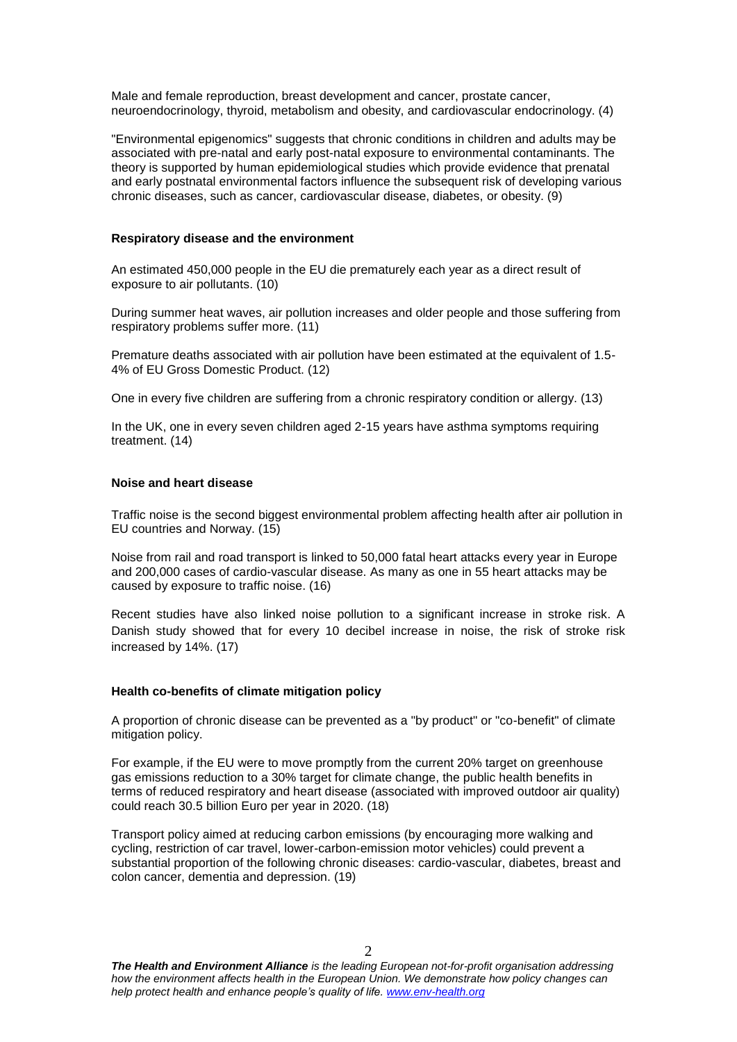Male and female reproduction, breast development and cancer, prostate cancer, neuroendocrinology, thyroid, metabolism and obesity, and cardiovascular endocrinology. (4)

"Environmental epigenomics" suggests that chronic conditions in children and adults may be associated with pre-natal and early post-natal exposure to environmental contaminants. The theory is supported by human epidemiological studies which provide evidence that prenatal and early postnatal environmental factors influence the subsequent risk of developing various chronic diseases, such as cancer, cardiovascular disease, diabetes, or obesity. (9)

#### **Respiratory disease and the environment**

An estimated 450,000 people in the EU die prematurely each year as a direct result of exposure to air pollutants. (10)

During summer heat waves, air pollution increases and older people and those suffering from respiratory problems suffer more. (11)

Premature deaths associated with air pollution have been estimated at the equivalent of 1.5- 4% of EU Gross Domestic Product. (12)

One in every five children are suffering from a chronic respiratory condition or allergy. (13)

In the UK, one in every seven children aged 2-15 years have asthma symptoms requiring treatment. (14)

#### **Noise and heart disease**

Traffic noise is the second biggest environmental problem affecting health after air pollution in EU countries and Norway. (15)

Noise from rail and road transport is linked to 50,000 fatal heart attacks every year in Europe and 200,000 cases of cardio-vascular disease. As many as one in 55 heart attacks may be caused by exposure to traffic noise. (16)

Recent studies have also linked noise pollution to a significant increase in stroke risk. A Danish study showed that for every 10 decibel increase in noise, the risk of stroke risk increased by 14%. (17)

#### **Health co-benefits of climate mitigation policy**

A proportion of chronic disease can be prevented as a "by product" or "co-benefit" of climate mitigation policy.

For example, if the EU were to move promptly from the current 20% target on greenhouse gas emissions reduction to a 30% target for climate change, the public health benefits in terms of reduced respiratory and heart disease (associated with improved outdoor air quality) could reach 30.5 billion Euro per year in 2020. (18)

Transport policy aimed at reducing carbon emissions (by encouraging more walking and cycling, restriction of car travel, lower-carbon-emission motor vehicles) could prevent a substantial proportion of the following chronic diseases: cardio-vascular, diabetes, breast and colon cancer, dementia and depression. (19)

*The Health and Environment Alliance is the leading European not-for-profit organisation addressing how the environment affects health in the European Union. We demonstrate how policy changes can help protect health and enhance people's quality of life. www.env-health.org*